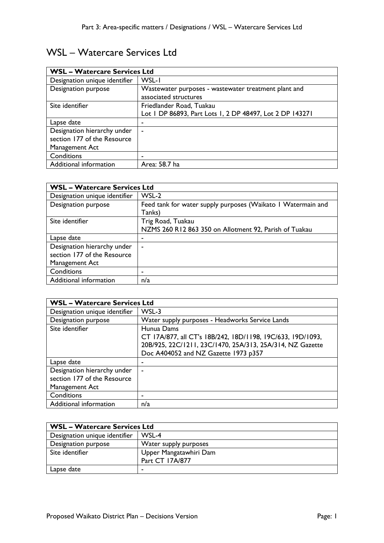## WSL – Watercare Services Ltd

| <b>WSL - Watercare Services Ltd</b> |                                                                               |
|-------------------------------------|-------------------------------------------------------------------------------|
| Designation unique identifier       | WSL-1                                                                         |
| Designation purpose                 | Wastewater purposes - wastewater treatment plant and<br>associated structures |
| Site identifier                     | Friedlander Road, Tuakau                                                      |
|                                     | Lot 1 DP 86893, Part Lots 1, 2 DP 48497, Lot 2 DP 143271                      |
| Lapse date                          |                                                                               |
| Designation hierarchy under         | ٠                                                                             |
| section 177 of the Resource         |                                                                               |
| Management Act                      |                                                                               |
| Conditions                          |                                                                               |
| Additional information              | Area: 58.7 ha                                                                 |

| <b>WSL - Watercare Services Ltd</b> |                                                              |
|-------------------------------------|--------------------------------------------------------------|
| Designation unique identifier       | WSL-2                                                        |
| Designation purpose                 | Feed tank for water supply purposes (Waikato I Watermain and |
|                                     | Tanks)                                                       |
| Site identifier                     | Trig Road, Tuakau                                            |
|                                     | NZMS 260 R12 863 350 on Allotment 92, Parish of Tuakau       |
| Lapse date                          | ۰                                                            |
| Designation hierarchy under         | ٠                                                            |
| section 177 of the Resource         |                                                              |
| Management Act                      |                                                              |
| Conditions                          | ۰                                                            |
| Additional information              | n/a                                                          |

| <b>WSL - Watercare Services Ltd</b>                                          |                                                                                                                                                                               |
|------------------------------------------------------------------------------|-------------------------------------------------------------------------------------------------------------------------------------------------------------------------------|
| Designation unique identifier                                                | WSL-3                                                                                                                                                                         |
| Designation purpose                                                          | Water supply purposes - Headworks Service Lands                                                                                                                               |
| Site identifier                                                              | Hunua Dams<br>CT 17A/877, all CT's 18B/242, 18D/1198, 19C/633, 19D/1093,<br>20B/925, 22C/1211, 23C/1470, 25A/313, 25A/314, NZ Gazette<br>Doc A404052 and NZ Gazette 1973 p357 |
| Lapse date                                                                   | ٠                                                                                                                                                                             |
| Designation hierarchy under<br>section 177 of the Resource<br>Management Act | ۰                                                                                                                                                                             |
| Conditions                                                                   |                                                                                                                                                                               |
| Additional information                                                       | n/a                                                                                                                                                                           |

| <b>WSL – Watercare Services Ltd</b> |                        |
|-------------------------------------|------------------------|
| Designation unique identifier       | WSL-4                  |
| Designation purpose                 | Water supply purposes  |
| Site identifier                     | Upper Mangatawhiri Dam |
|                                     | Part CT 17A/877        |
| Lapse date                          |                        |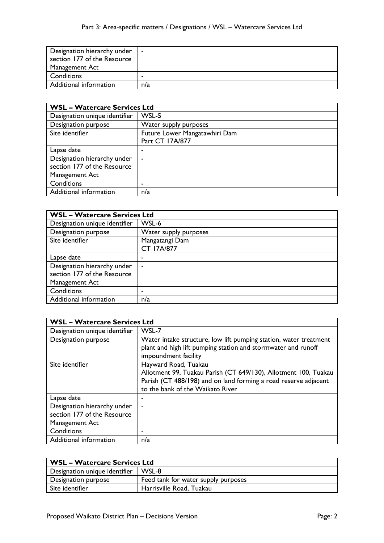| Designation hierarchy under<br>section 177 of the Resource | $\sim$ |
|------------------------------------------------------------|--------|
| Management Act                                             |        |
| Conditions                                                 |        |
| Additional information                                     | n/a    |

| <b>WSL - Watercare Services Ltd</b> |                               |
|-------------------------------------|-------------------------------|
| Designation unique identifier       | WSL-5                         |
| Designation purpose                 | Water supply purposes         |
| Site identifier                     | Future Lower Mangatawhiri Dam |
|                                     | Part CT 17A/877               |
| Lapse date                          | ۰                             |
| Designation hierarchy under         | $\blacksquare$                |
| section 177 of the Resource         |                               |
| Management Act                      |                               |
| Conditions                          | ٠                             |
| Additional information              | n/a                           |

| <b>WSL - Watercare Services Ltd</b> |                       |
|-------------------------------------|-----------------------|
| Designation unique identifier       | WSL-6                 |
| Designation purpose                 | Water supply purposes |
| Site identifier                     | Mangatangi Dam        |
|                                     | CT 17A/877            |
| Lapse date                          | ۰                     |
| Designation hierarchy under         | ۰                     |
| section 177 of the Resource         |                       |
| Management Act                      |                       |
| Conditions                          | -                     |
| Additional information              | n/a                   |

| <b>WSL - Watercare Services Ltd</b>                                          |                                                                                                                                                                                                |
|------------------------------------------------------------------------------|------------------------------------------------------------------------------------------------------------------------------------------------------------------------------------------------|
| Designation unique identifier                                                | WSL-7                                                                                                                                                                                          |
| <b>Designation purpose</b>                                                   | Water intake structure, low lift pumping station, water treatment<br>plant and high lift pumping station and stormwater and runoff<br>impoundment facility                                     |
| Site identifier                                                              | Hayward Road, Tuakau<br>Allotment 99, Tuakau Parish (CT 649/130), Allotment 100, Tuakau<br>Parish (CT 488/198) and on land forming a road reserve adjacent<br>to the bank of the Waikato River |
| Lapse date                                                                   |                                                                                                                                                                                                |
| Designation hierarchy under<br>section 177 of the Resource<br>Management Act |                                                                                                                                                                                                |
| Conditions                                                                   | ٠                                                                                                                                                                                              |
| Additional information                                                       | n/a                                                                                                                                                                                            |

| <b>WSL - Watercare Services Ltd</b> |                                     |
|-------------------------------------|-------------------------------------|
| Designation unique identifier       | WSL-8                               |
| Designation purpose                 | Feed tank for water supply purposes |
| Site identifier                     | Harrisville Road, Tuakau            |